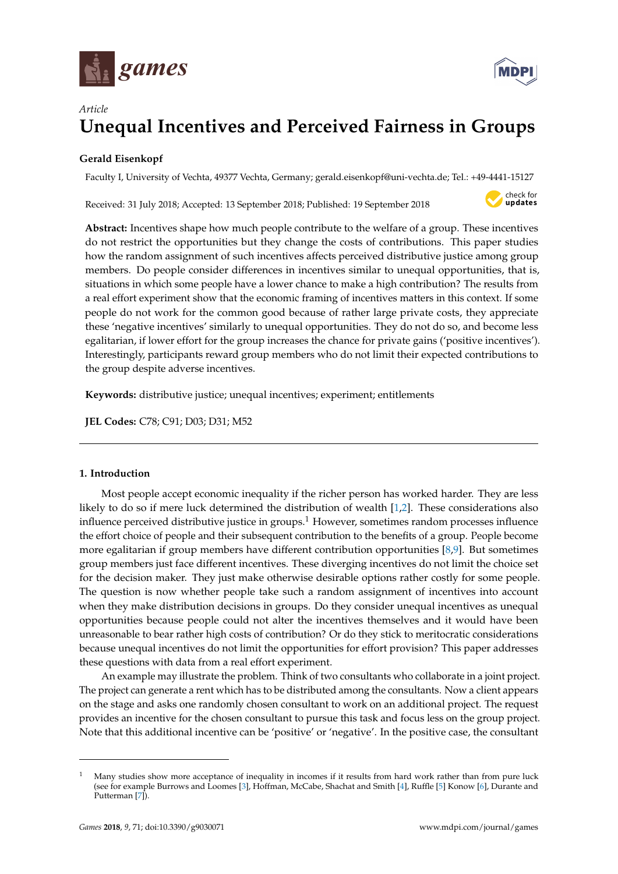



# *Article* **Unequal Incentives and Perceived Fairness in Groups**

## **Gerald Eisenkopf**

Faculty I, University of Vechta, 49377 Vechta, Germany; gerald.eisenkopf@uni-vechta.de; Tel.: +49-4441-15127

Received: 31 July 2018; Accepted: 13 September 2018; Published: 19 September 2018



**Abstract:** Incentives shape how much people contribute to the welfare of a group. These incentives do not restrict the opportunities but they change the costs of contributions. This paper studies how the random assignment of such incentives affects perceived distributive justice among group members. Do people consider differences in incentives similar to unequal opportunities, that is, situations in which some people have a lower chance to make a high contribution? The results from a real effort experiment show that the economic framing of incentives matters in this context. If some people do not work for the common good because of rather large private costs, they appreciate these 'negative incentives' similarly to unequal opportunities. They do not do so, and become less egalitarian, if lower effort for the group increases the chance for private gains ('positive incentives'). Interestingly, participants reward group members who do not limit their expected contributions to the group despite adverse incentives.

**Keywords:** distributive justice; unequal incentives; experiment; entitlements

**JEL Codes:** C78; C91; D03; D31; M52

## **1. Introduction**

Most people accept economic inequality if the richer person has worked harder. They are less likely to do so if mere luck determined the distribution of wealth [\[1,](#page-16-0)[2\]](#page-16-1). These considerations also influence perceived distributive justice in groups.<sup>1</sup> However, sometimes random processes influence the effort choice of people and their subsequent contribution to the benefits of a group. People become more egalitarian if group members have different contribution opportunities [\[8](#page-16-2)[,9\]](#page-16-3). But sometimes group members just face different incentives. These diverging incentives do not limit the choice set for the decision maker. They just make otherwise desirable options rather costly for some people. The question is now whether people take such a random assignment of incentives into account when they make distribution decisions in groups. Do they consider unequal incentives as unequal opportunities because people could not alter the incentives themselves and it would have been unreasonable to bear rather high costs of contribution? Or do they stick to meritocratic considerations because unequal incentives do not limit the opportunities for effort provision? This paper addresses these questions with data from a real effort experiment.

An example may illustrate the problem. Think of two consultants who collaborate in a joint project. The project can generate a rent which has to be distributed among the consultants. Now a client appears on the stage and asks one randomly chosen consultant to work on an additional project. The request provides an incentive for the chosen consultant to pursue this task and focus less on the group project. Note that this additional incentive can be 'positive' or 'negative'. In the positive case, the consultant

<sup>1</sup> Many studies show more acceptance of inequality in incomes if it results from hard work rather than from pure luck (see for example Burrows and Loomes [\[3\]](#page-16-4), Hoffman, McCabe, Shachat and Smith [\[4\]](#page-16-5), Ruffle [\[5\]](#page-16-6) Konow [\[6\]](#page-16-7), Durante and Putterman [\[7\]](#page-16-8)).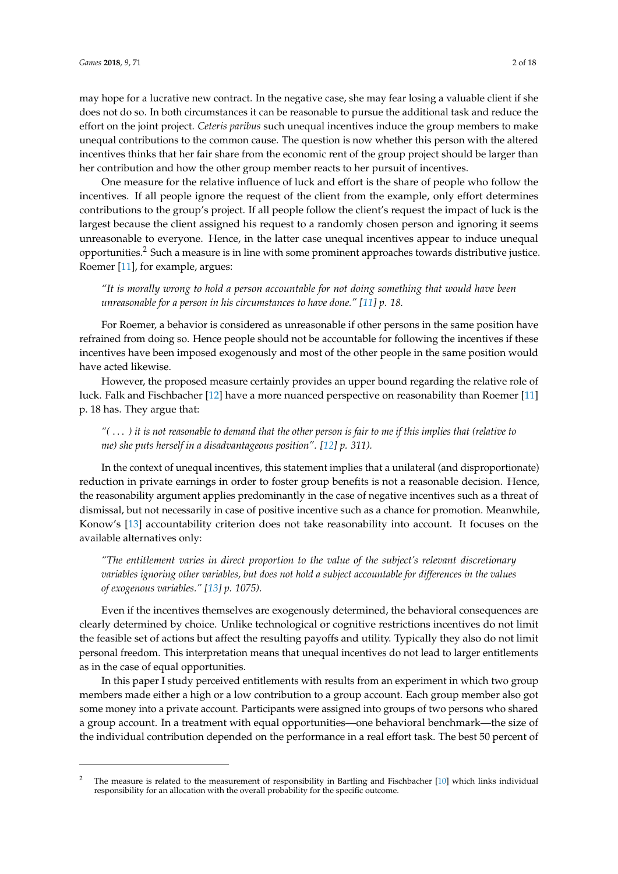may hope for a lucrative new contract. In the negative case, she may fear losing a valuable client if she does not do so. In both circumstances it can be reasonable to pursue the additional task and reduce the effort on the joint project. *Ceteris paribus* such unequal incentives induce the group members to make unequal contributions to the common cause. The question is now whether this person with the altered incentives thinks that her fair share from the economic rent of the group project should be larger than her contribution and how the other group member reacts to her pursuit of incentives.

One measure for the relative influence of luck and effort is the share of people who follow the incentives. If all people ignore the request of the client from the example, only effort determines contributions to the group's project. If all people follow the client's request the impact of luck is the largest because the client assigned his request to a randomly chosen person and ignoring it seems unreasonable to everyone. Hence, in the latter case unequal incentives appear to induce unequal opportunities.<sup>2</sup> Such a measure is in line with some prominent approaches towards distributive justice. Roemer [\[11\]](#page-16-9), for example, argues:

*"It is morally wrong to hold a person accountable for not doing something that would have been unreasonable for a person in his circumstances to have done." [\[11\]](#page-16-9) p. 18.*

For Roemer, a behavior is considered as unreasonable if other persons in the same position have refrained from doing so. Hence people should not be accountable for following the incentives if these incentives have been imposed exogenously and most of the other people in the same position would have acted likewise.

However, the proposed measure certainly provides an upper bound regarding the relative role of luck. Falk and Fischbacher [\[12\]](#page-16-10) have a more nuanced perspective on reasonability than Roemer [\[11\]](#page-16-9) p. 18 has. They argue that:

*"(* . . . *) it is not reasonable to demand that the other person is fair to me if this implies that (relative to me) she puts herself in a disadvantageous position". [\[12\]](#page-16-10) p. 311).*

In the context of unequal incentives, this statement implies that a unilateral (and disproportionate) reduction in private earnings in order to foster group benefits is not a reasonable decision. Hence, the reasonability argument applies predominantly in the case of negative incentives such as a threat of dismissal, but not necessarily in case of positive incentive such as a chance for promotion. Meanwhile, Konow's [\[13\]](#page-16-11) accountability criterion does not take reasonability into account. It focuses on the available alternatives only:

*"The entitlement varies in direct proportion to the value of the subject's relevant discretionary variables ignoring other variables, but does not hold a subject accountable for differences in the values of exogenous variables." [\[13\]](#page-16-11) p. 1075).*

Even if the incentives themselves are exogenously determined, the behavioral consequences are clearly determined by choice. Unlike technological or cognitive restrictions incentives do not limit the feasible set of actions but affect the resulting payoffs and utility. Typically they also do not limit personal freedom. This interpretation means that unequal incentives do not lead to larger entitlements as in the case of equal opportunities.

In this paper I study perceived entitlements with results from an experiment in which two group members made either a high or a low contribution to a group account. Each group member also got some money into a private account. Participants were assigned into groups of two persons who shared a group account. In a treatment with equal opportunities—one behavioral benchmark—the size of the individual contribution depended on the performance in a real effort task. The best 50 percent of

<sup>2</sup> The measure is related to the measurement of responsibility in Bartling and Fischbacher [\[10\]](#page-16-12) which links individual responsibility for an allocation with the overall probability for the specific outcome.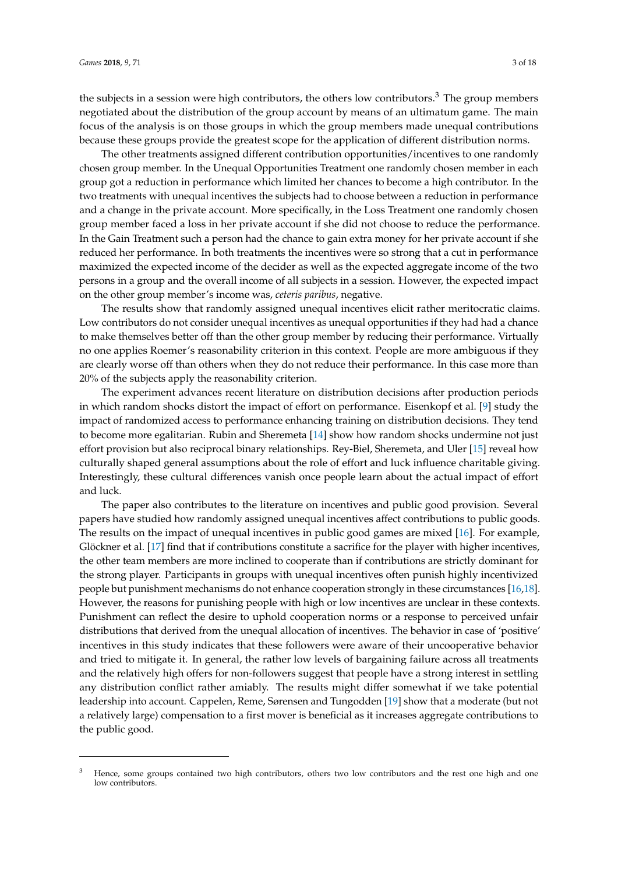the subjects in a session were high contributors, the others low contributors. $3$  The group members negotiated about the distribution of the group account by means of an ultimatum game. The main focus of the analysis is on those groups in which the group members made unequal contributions because these groups provide the greatest scope for the application of different distribution norms.

The other treatments assigned different contribution opportunities/incentives to one randomly chosen group member. In the Unequal Opportunities Treatment one randomly chosen member in each group got a reduction in performance which limited her chances to become a high contributor. In the two treatments with unequal incentives the subjects had to choose between a reduction in performance and a change in the private account. More specifically, in the Loss Treatment one randomly chosen group member faced a loss in her private account if she did not choose to reduce the performance. In the Gain Treatment such a person had the chance to gain extra money for her private account if she reduced her performance. In both treatments the incentives were so strong that a cut in performance maximized the expected income of the decider as well as the expected aggregate income of the two persons in a group and the overall income of all subjects in a session. However, the expected impact on the other group member's income was, *ceteris paribus*, negative.

The results show that randomly assigned unequal incentives elicit rather meritocratic claims. Low contributors do not consider unequal incentives as unequal opportunities if they had had a chance to make themselves better off than the other group member by reducing their performance. Virtually no one applies Roemer's reasonability criterion in this context. People are more ambiguous if they are clearly worse off than others when they do not reduce their performance. In this case more than 20% of the subjects apply the reasonability criterion.

The experiment advances recent literature on distribution decisions after production periods in which random shocks distort the impact of effort on performance. Eisenkopf et al. [\[9\]](#page-16-3) study the impact of randomized access to performance enhancing training on distribution decisions. They tend to become more egalitarian. Rubin and Sheremeta [\[14\]](#page-16-13) show how random shocks undermine not just effort provision but also reciprocal binary relationships. Rey-Biel, Sheremeta, and Uler [\[15\]](#page-16-14) reveal how culturally shaped general assumptions about the role of effort and luck influence charitable giving. Interestingly, these cultural differences vanish once people learn about the actual impact of effort and luck.

The paper also contributes to the literature on incentives and public good provision. Several papers have studied how randomly assigned unequal incentives affect contributions to public goods. The results on the impact of unequal incentives in public good games are mixed [\[16\]](#page-16-15). For example, Glöckner et al. [\[17\]](#page-16-16) find that if contributions constitute a sacrifice for the player with higher incentives, the other team members are more inclined to cooperate than if contributions are strictly dominant for the strong player. Participants in groups with unequal incentives often punish highly incentivized people but punishment mechanisms do not enhance cooperation strongly in these circumstances [\[16](#page-16-15)[,18\]](#page-16-17). However, the reasons for punishing people with high or low incentives are unclear in these contexts. Punishment can reflect the desire to uphold cooperation norms or a response to perceived unfair distributions that derived from the unequal allocation of incentives. The behavior in case of 'positive' incentives in this study indicates that these followers were aware of their uncooperative behavior and tried to mitigate it. In general, the rather low levels of bargaining failure across all treatments and the relatively high offers for non-followers suggest that people have a strong interest in settling any distribution conflict rather amiably. The results might differ somewhat if we take potential leadership into account. Cappelen, Reme, Sørensen and Tungodden [\[19\]](#page-16-18) show that a moderate (but not a relatively large) compensation to a first mover is beneficial as it increases aggregate contributions to the public good.

<sup>&</sup>lt;sup>3</sup> Hence, some groups contained two high contributors, others two low contributors and the rest one high and one low contributors.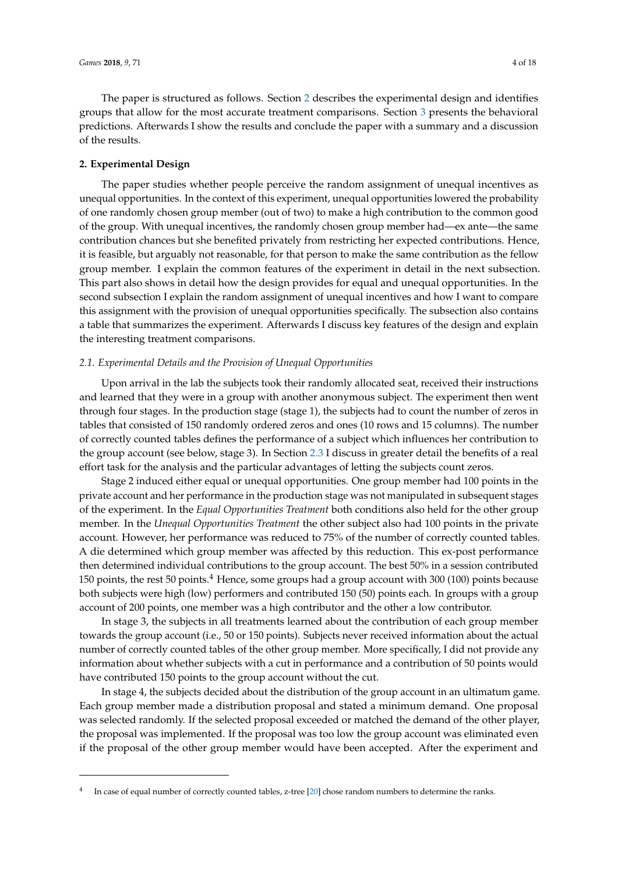The paper is structured as follows. Section [2](#page-3-0) describes the experimental design and identifies groups that allow for the most accurate treatment comparisons. Section [3](#page-6-0) presents the behavioral predictions. Afterwards I show the results and conclude the paper with a summary and a discussion of the results.

## <span id="page-3-0"></span>**2. Experimental Design**

The paper studies whether people perceive the random assignment of unequal incentives as unequal opportunities. In the context of this experiment, unequal opportunities lowered the probability of one randomly chosen group member (out of two) to make a high contribution to the common good of the group. With unequal incentives, the randomly chosen group member had—ex ante—the same contribution chances but she benefited privately from restricting her expected contributions. Hence, it is feasible, but arguably not reasonable, for that person to make the same contribution as the fellow group member. I explain the common features of the experiment in detail in the next subsection. This part also shows in detail how the design provides for equal and unequal opportunities. In the second subsection I explain the random assignment of unequal incentives and how I want to compare this assignment with the provision of unequal opportunities specifically. The subsection also contains a table that summarizes the experiment. Afterwards I discuss key features of the design and explain the interesting treatment comparisons.

#### *2.1. Experimental Details and the Provision of Unequal Opportunities*

Upon arrival in the lab the subjects took their randomly allocated seat, received their instructions and learned that they were in a group with another anonymous subject. The experiment then went through four stages. In the production stage (stage 1), the subjects had to count the number of zeros in tables that consisted of 150 randomly ordered zeros and ones (10 rows and 15 columns). The number of correctly counted tables defines the performance of a subject which influences her contribution to the group account (see below, stage 3). In Section [2.3](#page-5-0) I discuss in greater detail the benefits of a real effort task for the analysis and the particular advantages of letting the subjects count zeros.

Stage 2 induced either equal or unequal opportunities. One group member had 100 points in the private account and her performance in the production stage was not manipulated in subsequent stages of the experiment. In the *Equal Opportunities Treatment* both conditions also held for the other group member. In the *Unequal Opportunities Treatment* the other subject also had 100 points in the private account. However, her performance was reduced to 75% of the number of correctly counted tables. A die determined which group member was affected by this reduction. This ex-post performance then determined individual contributions to the group account. The best 50% in a session contributed 150 points, the rest 50 points.<sup>4</sup> Hence, some groups had a group account with 300 (100) points because both subjects were high (low) performers and contributed 150 (50) points each. In groups with a group account of 200 points, one member was a high contributor and the other a low contributor.

In stage 3, the subjects in all treatments learned about the contribution of each group member towards the group account (i.e., 50 or 150 points). Subjects never received information about the actual number of correctly counted tables of the other group member. More specifically, I did not provide any information about whether subjects with a cut in performance and a contribution of 50 points would have contributed 150 points to the group account without the cut.

In stage 4, the subjects decided about the distribution of the group account in an ultimatum game. Each group member made a distribution proposal and stated a minimum demand. One proposal was selected randomly. If the selected proposal exceeded or matched the demand of the other player, the proposal was implemented. If the proposal was too low the group account was eliminated even if the proposal of the other group member would have been accepted. After the experiment and

<sup>4</sup> In case of equal number of correctly counted tables, z-tree [\[20\]](#page-16-19) chose random numbers to determine the ranks.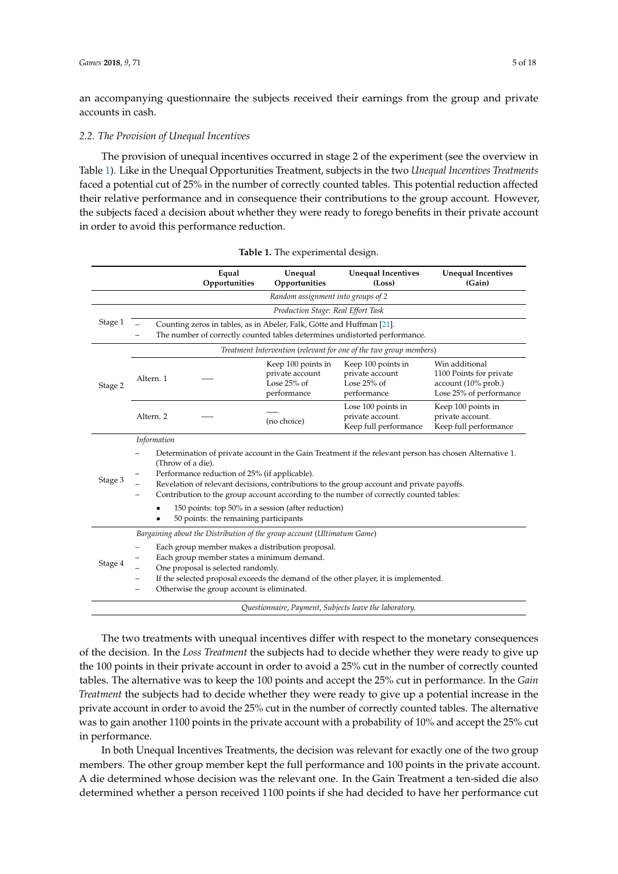an accompanying questionnaire the subjects received their earnings from the group and private accounts in cash.

#### *2.2. The Provision of Unequal Incentives*

The provision of unequal incentives occurred in stage 2 of the experiment (see the overview in Table [1\)](#page-4-0). Like in the Unequal Opportunities Treatment, subjects in the two *Unequal Incentives Treatments* faced a potential cut of 25% in the number of correctly counted tables. This potential reduction affected their relative performance and in consequence their contributions to the group account*.* However, the subjects faced a decision about whether they were ready to forego benefits in their private account in order to avoid this performance reduction.

<span id="page-4-0"></span>

|         |                                                                                                                                                                                                                                                                                                                                                                                                                                                                     |                                                                                                                                                                                                                                                                           | Equal<br>Opportunities | Unequal<br>Opportunities                                              | <b>Unequal Incentives</b><br>(Loss)                                        | <b>Unequal Incentives</b><br>(Gain)                                                         |  |  |
|---------|---------------------------------------------------------------------------------------------------------------------------------------------------------------------------------------------------------------------------------------------------------------------------------------------------------------------------------------------------------------------------------------------------------------------------------------------------------------------|---------------------------------------------------------------------------------------------------------------------------------------------------------------------------------------------------------------------------------------------------------------------------|------------------------|-----------------------------------------------------------------------|----------------------------------------------------------------------------|---------------------------------------------------------------------------------------------|--|--|
|         | Random assignment into groups of 2                                                                                                                                                                                                                                                                                                                                                                                                                                  |                                                                                                                                                                                                                                                                           |                        |                                                                       |                                                                            |                                                                                             |  |  |
|         | Production Stage: Real Effort Task                                                                                                                                                                                                                                                                                                                                                                                                                                  |                                                                                                                                                                                                                                                                           |                        |                                                                       |                                                                            |                                                                                             |  |  |
| Stage 1 |                                                                                                                                                                                                                                                                                                                                                                                                                                                                     |                                                                                                                                                                                                                                                                           |                        | Counting zeros in tables, as in Abeler, Falk, Götte and Huffman [21]. | The number of correctly counted tables determines undistorted performance. |                                                                                             |  |  |
|         |                                                                                                                                                                                                                                                                                                                                                                                                                                                                     |                                                                                                                                                                                                                                                                           |                        |                                                                       | Treatment Intervention (relevant for one of the two group members)         |                                                                                             |  |  |
| Stage 2 | Altern. 1                                                                                                                                                                                                                                                                                                                                                                                                                                                           |                                                                                                                                                                                                                                                                           |                        | Keep 100 points in<br>private account<br>Lose $25%$ of<br>performance | Keep 100 points in<br>private account<br>Lose $25%$ of<br>performance      | Win additional<br>1100 Points for private<br>account (10% prob.)<br>Lose 25% of performance |  |  |
|         |                                                                                                                                                                                                                                                                                                                                                                                                                                                                     | Keep 100 points in<br>Lose 100 points in<br>Altern. 2<br>private account.<br>private account.<br>(no choice)<br>Keep full performance<br>Keep full performance                                                                                                            |                        |                                                                       |                                                                            |                                                                                             |  |  |
|         |                                                                                                                                                                                                                                                                                                                                                                                                                                                                     | Information                                                                                                                                                                                                                                                               |                        |                                                                       |                                                                            |                                                                                             |  |  |
| Stage 3 | Determination of private account in the Gain Treatment if the relevant person has chosen Alternative 1.<br>(Throw of a die).<br>Performance reduction of 25% (if applicable).<br>Revelation of relevant decisions, contributions to the group account and private payoffs.<br>Contribution to the group account according to the number of correctly counted tables:<br>150 points: top 50% in a session (after reduction)<br>50 points: the remaining participants |                                                                                                                                                                                                                                                                           |                        |                                                                       |                                                                            |                                                                                             |  |  |
|         | Bargaining about the Distribution of the group account (Ultimatum Game)                                                                                                                                                                                                                                                                                                                                                                                             |                                                                                                                                                                                                                                                                           |                        |                                                                       |                                                                            |                                                                                             |  |  |
| Stage 4 | $\overline{\phantom{m}}$                                                                                                                                                                                                                                                                                                                                                                                                                                            | Each group member makes a distribution proposal.<br>Each group member states a minimum demand.<br>One proposal is selected randomly.<br>If the selected proposal exceeds the demand of the other player, it is implemented.<br>Otherwise the group account is eliminated. |                        |                                                                       |                                                                            |                                                                                             |  |  |
|         |                                                                                                                                                                                                                                                                                                                                                                                                                                                                     |                                                                                                                                                                                                                                                                           |                        |                                                                       | Questionnaire, Payment, Subjects leave the laboratory.                     |                                                                                             |  |  |

| Table 1. The experimental design. |  |  |  |  |
|-----------------------------------|--|--|--|--|
|-----------------------------------|--|--|--|--|

The two treatments with unequal incentives differ with respect to the monetary consequences of the decision. In the *Loss Treatment* the subjects had to decide whether they were ready to give up the 100 points in their private account in order to avoid a 25% cut in the number of correctly counted tables. The alternative was to keep the 100 points and accept the 25% cut in performance. In the *Gain Treatment* the subjects had to decide whether they were ready to give up a potential increase in the private account in order to avoid the 25% cut in the number of correctly counted tables. The alternative was to gain another 1100 points in the private account with a probability of 10% and accept the 25% cut in performance.

In both Unequal Incentives Treatments, the decision was relevant for exactly one of the two group members. The other group member kept the full performance and 100 points in the private account. A die determined whose decision was the relevant one. In the Gain Treatment a ten-sided die also determined whether a person received 1100 points if she had decided to have her performance cut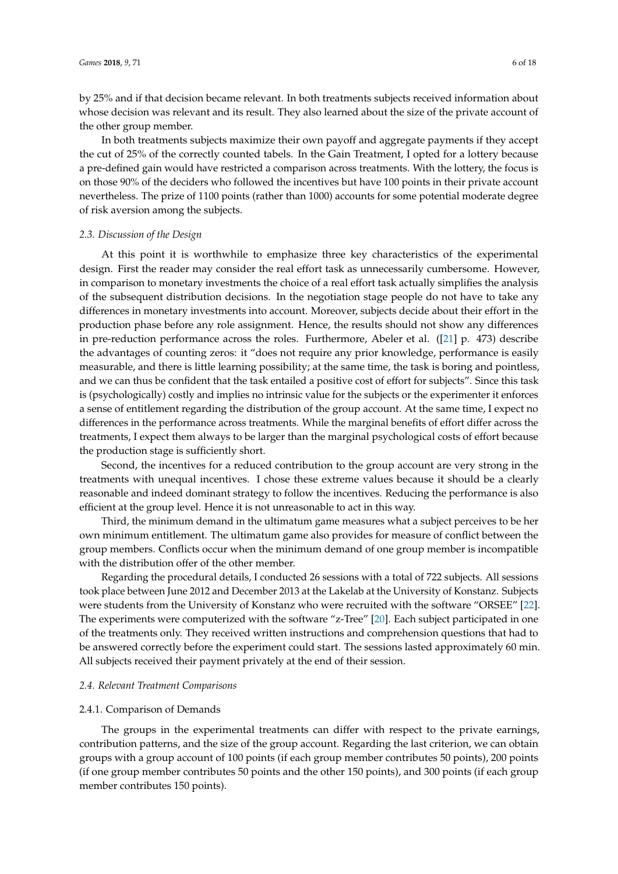by 25% and if that decision became relevant. In both treatments subjects received information about whose decision was relevant and its result. They also learned about the size of the private account of the other group member.

In both treatments subjects maximize their own payoff and aggregate payments if they accept the cut of 25% of the correctly counted tabels. In the Gain Treatment, I opted for a lottery because a pre-defined gain would have restricted a comparison across treatments. With the lottery, the focus is on those 90% of the deciders who followed the incentives but have 100 points in their private account nevertheless. The prize of 1100 points (rather than 1000) accounts for some potential moderate degree of risk aversion among the subjects.

#### <span id="page-5-0"></span>*2.3. Discussion of the Design*

At this point it is worthwhile to emphasize three key characteristics of the experimental design. First the reader may consider the real effort task as unnecessarily cumbersome. However, in comparison to monetary investments the choice of a real effort task actually simplifies the analysis of the subsequent distribution decisions. In the negotiation stage people do not have to take any differences in monetary investments into account. Moreover, subjects decide about their effort in the production phase before any role assignment. Hence, the results should not show any differences in pre-reduction performance across the roles. Furthermore, Abeler et al. ([\[21\]](#page-16-20) p. 473) describe the advantages of counting zeros: it "does not require any prior knowledge, performance is easily measurable, and there is little learning possibility; at the same time, the task is boring and pointless, and we can thus be confident that the task entailed a positive cost of effort for subjects". Since this task is (psychologically) costly and implies no intrinsic value for the subjects or the experimenter it enforces a sense of entitlement regarding the distribution of the group account. At the same time, I expect no differences in the performance across treatments. While the marginal benefits of effort differ across the treatments, I expect them always to be larger than the marginal psychological costs of effort because the production stage is sufficiently short.

Second, the incentives for a reduced contribution to the group account are very strong in the treatments with unequal incentives. I chose these extreme values because it should be a clearly reasonable and indeed dominant strategy to follow the incentives. Reducing the performance is also efficient at the group level. Hence it is not unreasonable to act in this way.

Third, the minimum demand in the ultimatum game measures what a subject perceives to be her own minimum entitlement. The ultimatum game also provides for measure of conflict between the group members. Conflicts occur when the minimum demand of one group member is incompatible with the distribution offer of the other member.

Regarding the procedural details, I conducted 26 sessions with a total of 722 subjects. All sessions took place between June 2012 and December 2013 at the Lakelab at the University of Konstanz. Subjects were students from the University of Konstanz who were recruited with the software "ORSEE" [\[22\]](#page-16-21). The experiments were computerized with the software "z-Tree" [\[20\]](#page-16-19). Each subject participated in one of the treatments only. They received written instructions and comprehension questions that had to be answered correctly before the experiment could start. The sessions lasted approximately 60 min. All subjects received their payment privately at the end of their session.

#### <span id="page-5-1"></span>*2.4. Relevant Treatment Comparisons*

#### 2.4.1. Comparison of Demands

The groups in the experimental treatments can differ with respect to the private earnings, contribution patterns, and the size of the group account. Regarding the last criterion, we can obtain groups with a group account of 100 points (if each group member contributes 50 points), 200 points (if one group member contributes 50 points and the other 150 points), and 300 points (if each group member contributes 150 points).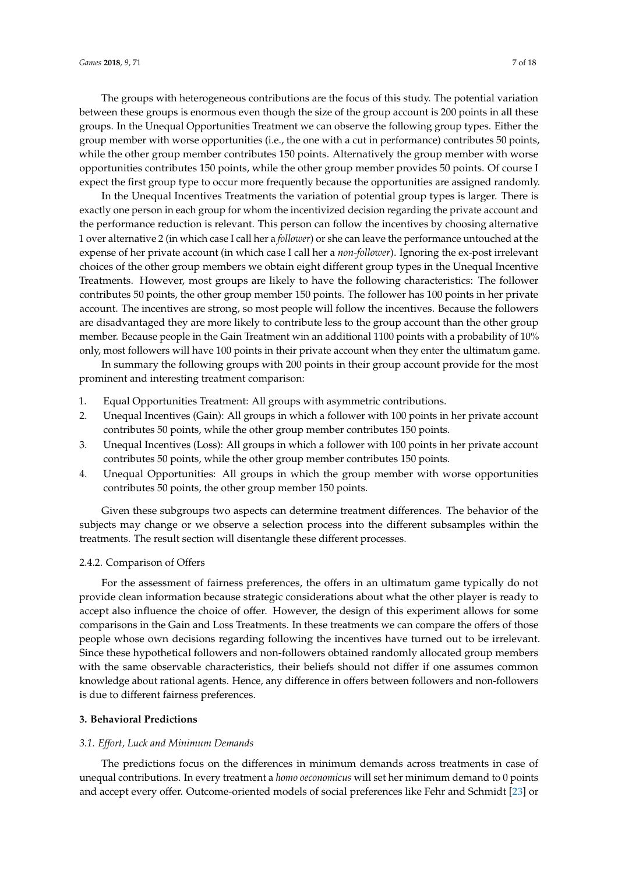The groups with heterogeneous contributions are the focus of this study. The potential variation between these groups is enormous even though the size of the group account is 200 points in all these groups. In the Unequal Opportunities Treatment we can observe the following group types. Either the group member with worse opportunities (i.e., the one with a cut in performance) contributes 50 points, while the other group member contributes 150 points. Alternatively the group member with worse opportunities contributes 150 points, while the other group member provides 50 points. Of course I expect the first group type to occur more frequently because the opportunities are assigned randomly.

In the Unequal Incentives Treatments the variation of potential group types is larger. There is exactly one person in each group for whom the incentivized decision regarding the private account and the performance reduction is relevant. This person can follow the incentives by choosing alternative 1 over alternative 2 (in which case I call her a *follower*) or she can leave the performance untouched at the expense of her private account (in which case I call her a *non-follower*). Ignoring the ex-post irrelevant choices of the other group members we obtain eight different group types in the Unequal Incentive Treatments. However, most groups are likely to have the following characteristics: The follower contributes 50 points, the other group member 150 points. The follower has 100 points in her private account. The incentives are strong, so most people will follow the incentives. Because the followers are disadvantaged they are more likely to contribute less to the group account than the other group member. Because people in the Gain Treatment win an additional 1100 points with a probability of 10% only, most followers will have 100 points in their private account when they enter the ultimatum game.

In summary the following groups with 200 points in their group account provide for the most prominent and interesting treatment comparison:

- 1. Equal Opportunities Treatment: All groups with asymmetric contributions.
- 2. Unequal Incentives (Gain): All groups in which a follower with 100 points in her private account contributes 50 points, while the other group member contributes 150 points.
- 3. Unequal Incentives (Loss): All groups in which a follower with 100 points in her private account contributes 50 points, while the other group member contributes 150 points.
- 4. Unequal Opportunities: All groups in which the group member with worse opportunities contributes 50 points, the other group member 150 points.

Given these subgroups two aspects can determine treatment differences. The behavior of the subjects may change or we observe a selection process into the different subsamples within the treatments. The result section will disentangle these different processes.

#### 2.4.2. Comparison of Offers

For the assessment of fairness preferences, the offers in an ultimatum game typically do not provide clean information because strategic considerations about what the other player is ready to accept also influence the choice of offer. However, the design of this experiment allows for some comparisons in the Gain and Loss Treatments. In these treatments we can compare the offers of those people whose own decisions regarding following the incentives have turned out to be irrelevant. Since these hypothetical followers and non-followers obtained randomly allocated group members with the same observable characteristics, their beliefs should not differ if one assumes common knowledge about rational agents. Hence, any difference in offers between followers and non-followers is due to different fairness preferences.

## <span id="page-6-0"></span>**3. Behavioral Predictions**

## *3.1. Effort, Luck and Minimum Demands*

The predictions focus on the differences in minimum demands across treatments in case of unequal contributions. In every treatment a *homo oeconomicus* will set her minimum demand to 0 points and accept every offer. Outcome-oriented models of social preferences like Fehr and Schmidt [\[23\]](#page-16-22) or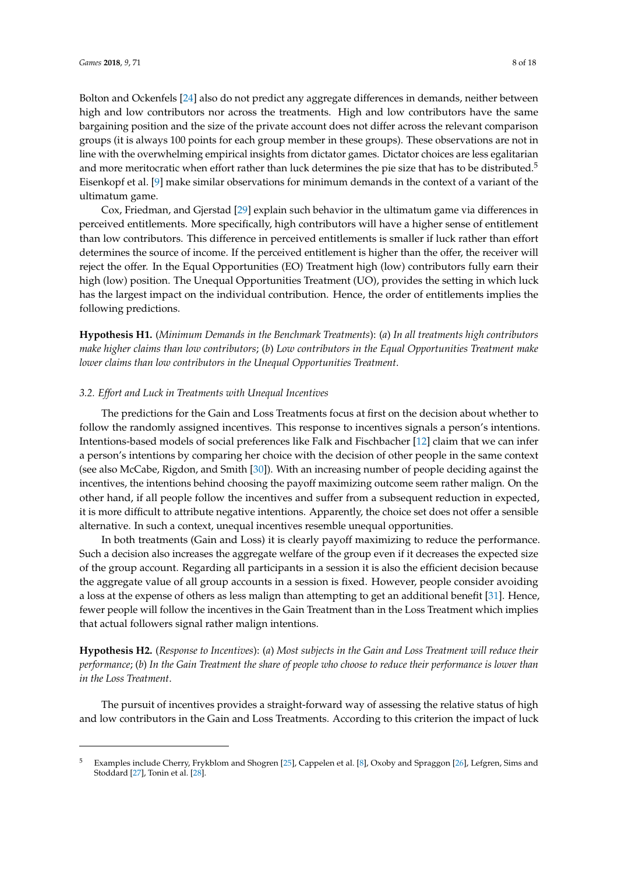Bolton and Ockenfels [\[24\]](#page-16-23) also do not predict any aggregate differences in demands, neither between high and low contributors nor across the treatments. High and low contributors have the same bargaining position and the size of the private account does not differ across the relevant comparison groups (it is always 100 points for each group member in these groups). These observations are not in line with the overwhelming empirical insights from dictator games. Dictator choices are less egalitarian and more meritocratic when effort rather than luck determines the pie size that has to be distributed.<sup>5</sup> Eisenkopf et al. [\[9\]](#page-16-3) make similar observations for minimum demands in the context of a variant of the ultimatum game.

Cox, Friedman, and Gjerstad [\[29\]](#page-17-0) explain such behavior in the ultimatum game via differences in perceived entitlements. More specifically, high contributors will have a higher sense of entitlement than low contributors. This difference in perceived entitlements is smaller if luck rather than effort determines the source of income. If the perceived entitlement is higher than the offer, the receiver will reject the offer. In the Equal Opportunities (EO) Treatment high (low) contributors fully earn their high (low) position. The Unequal Opportunities Treatment (UO), provides the setting in which luck has the largest impact on the individual contribution. Hence, the order of entitlements implies the following predictions.

**Hypothesis H1.** (*Minimum Demands in the Benchmark Treatments*): (*a*) *In all treatments high contributors make higher claims than low contributors*; (*b*) *Low contributors in the Equal Opportunities Treatment make lower claims than low contributors in the Unequal Opportunities Treatment*.

### *3.2. Effort and Luck in Treatments with Unequal Incentives*

The predictions for the Gain and Loss Treatments focus at first on the decision about whether to follow the randomly assigned incentives. This response to incentives signals a person's intentions. Intentions-based models of social preferences like Falk and Fischbacher [\[12\]](#page-16-10) claim that we can infer a person's intentions by comparing her choice with the decision of other people in the same context (see also McCabe, Rigdon, and Smith [\[30\]](#page-17-1)). With an increasing number of people deciding against the incentives, the intentions behind choosing the payoff maximizing outcome seem rather malign. On the other hand, if all people follow the incentives and suffer from a subsequent reduction in expected, it is more difficult to attribute negative intentions. Apparently, the choice set does not offer a sensible alternative. In such a context, unequal incentives resemble unequal opportunities.

In both treatments (Gain and Loss) it is clearly payoff maximizing to reduce the performance. Such a decision also increases the aggregate welfare of the group even if it decreases the expected size of the group account. Regarding all participants in a session it is also the efficient decision because the aggregate value of all group accounts in a session is fixed. However, people consider avoiding a loss at the expense of others as less malign than attempting to get an additional benefit [\[31\]](#page-17-2). Hence, fewer people will follow the incentives in the Gain Treatment than in the Loss Treatment which implies that actual followers signal rather malign intentions.

**Hypothesis H2.** (*Response to Incentives*): (*a*) *Most subjects in the Gain and Loss Treatment will reduce their performance*; (*b*) *In the Gain Treatment the share of people who choose to reduce their performance is lower than in the Loss Treatment*.

The pursuit of incentives provides a straight-forward way of assessing the relative status of high and low contributors in the Gain and Loss Treatments. According to this criterion the impact of luck

<sup>5</sup> Examples include Cherry, Frykblom and Shogren [\[25\]](#page-16-24), Cappelen et al. [\[8\]](#page-16-2), Oxoby and Spraggon [\[26\]](#page-16-25), Lefgren, Sims and Stoddard [\[27\]](#page-16-26), Tonin et al. [\[28\]](#page-16-27).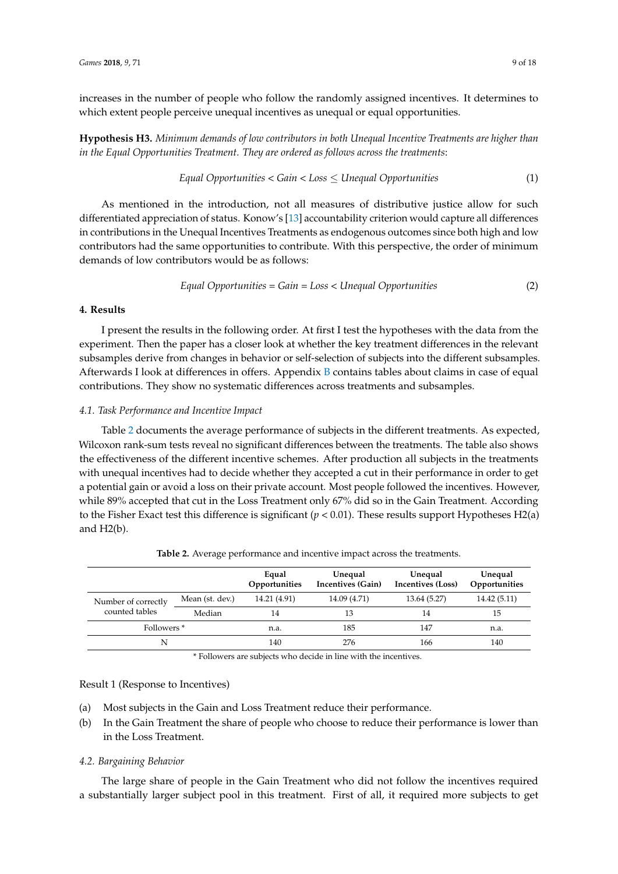increases in the number of people who follow the randomly assigned incentives. It determines to which extent people perceive unequal incentives as unequal or equal opportunities.

**Hypothesis H3.** *Minimum demands of low contributors in both Unequal Incentive Treatments are higher than in the Equal Opportunities Treatment. They are ordered as follows across the treatments*:

$$
Equal \,Opportunities < Gain < Loss \leq Unequal \,Opportunities \tag{1}
$$

As mentioned in the introduction, not all measures of distributive justice allow for such differentiated appreciation of status. Konow's [\[13\]](#page-16-11) accountability criterion would capture all differences in contributions in the Unequal Incentives Treatments as endogenous outcomes since both high and low contributors had the same opportunities to contribute. With this perspective, the order of minimum demands of low contributors would be as follows:

$$
Equal \,Opportunities = Gain = Loss < Unequal \,Opportunities \tag{2}
$$

## **4. Results**

I present the results in the following order. At first I test the hypotheses with the data from the experiment. Then the paper has a closer look at whether the key treatment differences in the relevant subsamples derive from changes in behavior or self-selection of subjects into the different subsamples. Afterwards I look at differences in offers. Appendix [B](#page-15-0) contains tables about claims in case of equal contributions. They show no systematic differences across treatments and subsamples.

#### <span id="page-8-1"></span>*4.1. Task Performance and Incentive Impact*

Table [2](#page-8-0) documents the average performance of subjects in the different treatments. As expected, Wilcoxon rank-sum tests reveal no significant differences between the treatments. The table also shows the effectiveness of the different incentive schemes. After production all subjects in the treatments with unequal incentives had to decide whether they accepted a cut in their performance in order to get a potential gain or avoid a loss on their private account. Most people followed the incentives. However, while 89% accepted that cut in the Loss Treatment only 67% did so in the Gain Treatment. According to the Fisher Exact test this difference is significant  $(p < 0.01)$ . These results support Hypotheses H2(a) and H2(b).

<span id="page-8-0"></span>

|                        |                 | Equal<br>Opportunities | Unequal<br>Incentives (Gain) | Unequal<br>Incentives (Loss) | Unequal<br>Opportunities |
|------------------------|-----------------|------------------------|------------------------------|------------------------------|--------------------------|
| Number of correctly    | Mean (st. dev.) | 14.21 (4.91)           | 14.09 (4.71)                 | 13.64 (5.27)                 | 14.42 (5.11)             |
| counted tables         | Median          | 14                     | 13                           | 14                           | 15                       |
| Followers <sup>*</sup> |                 | n.a.                   | 185                          | 147                          | n.a.                     |
| N                      |                 | 140                    | 276                          | 166                          | 140                      |

**Table 2.** Average performance and incentive impact across the treatments.

\* Followers are subjects who decide in line with the incentives.

## Result 1 (Response to Incentives)

- (a) Most subjects in the Gain and Loss Treatment reduce their performance.
- (b) In the Gain Treatment the share of people who choose to reduce their performance is lower than in the Loss Treatment.

## *4.2. Bargaining Behavior*

The large share of people in the Gain Treatment who did not follow the incentives required a substantially larger subject pool in this treatment. First of all, it required more subjects to get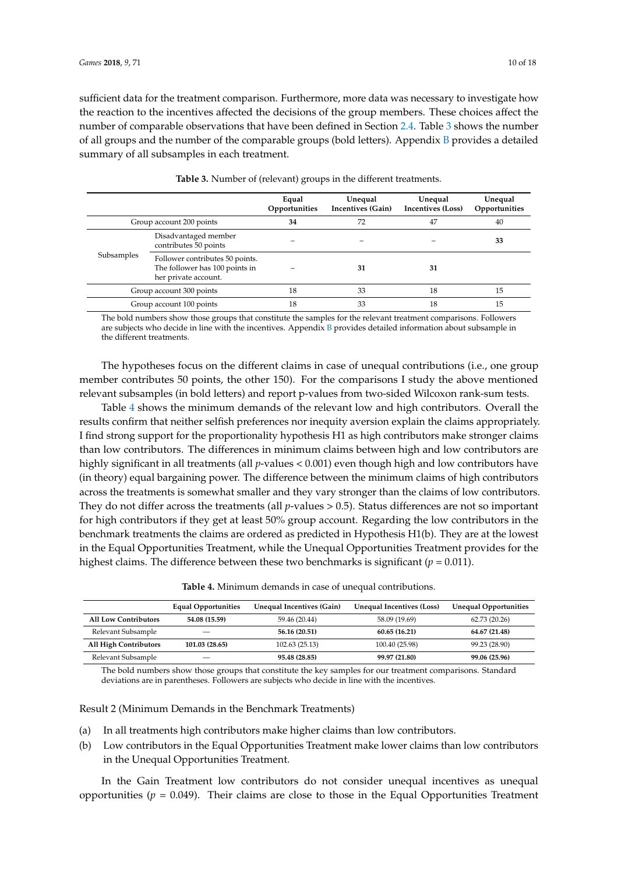sufficient data for the treatment comparison. Furthermore, more data was necessary to investigate how the reaction to the incentives affected the decisions of the group members. These choices affect the number of comparable observations that have been defined in Section [2.4.](#page-5-1) Table [3](#page-9-0) shows the number of all groups and the number of the comparable groups (bold letters). Appendix [B](#page-15-0) provides a detailed summary of all subsamples in each treatment.

<span id="page-9-0"></span>

|                          |                                                                                           | Equal<br>Opportunities | Unequal<br>Incentives (Gain) | Unequal<br>Incentives (Loss) | Unequal<br>Opportunities |
|--------------------------|-------------------------------------------------------------------------------------------|------------------------|------------------------------|------------------------------|--------------------------|
| Group account 200 points |                                                                                           | 34                     | 72                           | 47                           | 40                       |
|                          | Disadvantaged member<br>contributes 50 points                                             |                        |                              |                              | 33                       |
| Subsamples               | Follower contributes 50 points.<br>The follower has 100 points in<br>her private account. |                        | 31                           | 31                           |                          |
| Group account 300 points |                                                                                           | 18                     | 33                           | 18                           | 15                       |
| Group account 100 points |                                                                                           | 18                     | 33                           | 18                           | 15                       |

**Table 3.** Number of (relevant) groups in the different treatments.

The bold numbers show those groups that constitute the samples for the relevant treatment comparisons. Followers are subjects who decide in line with the incentives. Appendix [B](#page-15-0) provides detailed information about subsample in the different treatments.

The hypotheses focus on the different claims in case of unequal contributions (i.e., one group member contributes 50 points, the other 150). For the comparisons I study the above mentioned relevant subsamples (in bold letters) and report p-values from two-sided Wilcoxon rank-sum tests.

Table [4](#page-9-1) shows the minimum demands of the relevant low and high contributors. Overall the results confirm that neither selfish preferences nor inequity aversion explain the claims appropriately. I find strong support for the proportionality hypothesis H1 as high contributors make stronger claims than low contributors. The differences in minimum claims between high and low contributors are highly significant in all treatments (all *p*-values < 0.001) even though high and low contributors have (in theory) equal bargaining power. The difference between the minimum claims of high contributors across the treatments is somewhat smaller and they vary stronger than the claims of low contributors. They do not differ across the treatments (all *p*-values > 0.5). Status differences are not so important for high contributors if they get at least 50% group account. Regarding the low contributors in the benchmark treatments the claims are ordered as predicted in Hypothesis H1(b). They are at the lowest in the Equal Opportunities Treatment, while the Unequal Opportunities Treatment provides for the highest claims. The difference between these two benchmarks is significant ( $p = 0.011$ ).

|--|

<span id="page-9-1"></span>

|                              | <b>Equal Opportunities</b> | Unequal Incentives (Gain) | Unequal Incentives (Loss) | <b>Unequal Opportunities</b> |
|------------------------------|----------------------------|---------------------------|---------------------------|------------------------------|
| <b>All Low Contributors</b>  | 54.08 (15.59)              | 59.46 (20.44)             | 58.09 (19.69)             | 62.73 (20.26)                |
| Relevant Subsample           |                            | 56.16 (20.51)             | 60.65 (16.21)             | 64.67 (21.48)                |
| <b>All High Contributors</b> | 101.03 (28.65)             | 102.63(25.13)             | 100.40 (25.98)            | 99.23 (28.90)                |
| Relevant Subsample           |                            | 95.48 (28.85)             | 99.97 (21.80)             | 99.06 (25.96)                |

The bold numbers show those groups that constitute the key samples for our treatment comparisons. Standard deviations are in parentheses. Followers are subjects who decide in line with the incentives.

Result 2 (Minimum Demands in the Benchmark Treatments)

- (a) In all treatments high contributors make higher claims than low contributors.
- (b) Low contributors in the Equal Opportunities Treatment make lower claims than low contributors in the Unequal Opportunities Treatment.

In the Gain Treatment low contributors do not consider unequal incentives as unequal opportunities  $(p = 0.049)$ . Their claims are close to those in the Equal Opportunities Treatment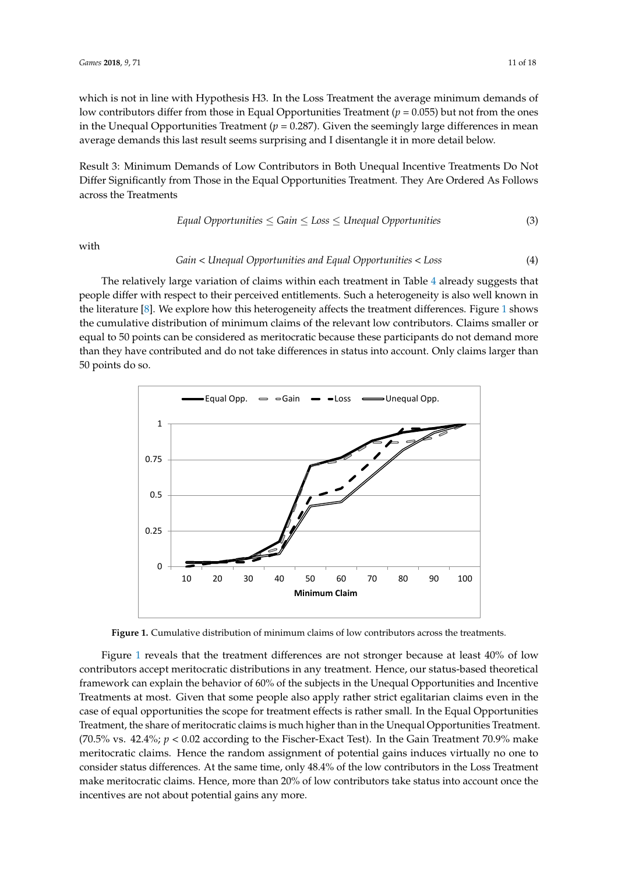which is not in line with Hypothesis H3. In the Loss Treatment the average minimum demands of low contributors differ from those in Equal Opportunities Treatment (*p* = 0.055) but not from the ones in the Unequal Opportunities Treatment (*p* = 0.287). Given the seemingly large differences in mean average demands this last result seems surprising and I disentangle it in more detail below.

Result 3: Minimum Demands of Low Contributors in Both Unequal Incentive Treatments Do Not Differ Significantly from Those in the Equal Opportunities Treatment. They Are Ordered As Follows across the Treatments *Games* **2018**, *9*, x FOR PEER REVIEW 11 of 18

$$
Equal \,Opportunities \leq Gain \leq Loss \leq Unequal \,Opportunities \tag{3}
$$

with

#### *Gain* < *Unequal Opportunities and Equal Opportunities* < *Loss* (4) *Equal Opportunities ≤ Gain ≤ Loss ≤ Unequal Opportunities* (3)

The relatively large variation of claims within each treatment in Table [4](#page-9-1) already suggests that people differ with respect to their perceived entitlements. Such a heterogeneity is also well known in the literature [\[8\]](#page-16-2). We explore how this heterogeneity affects the treatment differences. Figure [1](#page-10-0) shows the cumulative distribution of minimum claims of the relevant low contributors. Claims smaller or equal to 50 points can be considered as meritocratic because these participants do not demand more than they have contributed and do not take differences in status into account. Only claims larger than 50 points do so. 50 points do so. the distribution of himmitten claims of the felevant fow contributors. Claims  $t_{\rm tot}$  have contributed and do not take differences into account. Only claims larger than  $\alpha$ 

<span id="page-10-0"></span>

**Figure 1.** Cumulative distribution of minimum claims of low contributors across the treatments. **Figure 1.** Cumulative distribution of minimum claims of low contributors across the treatments.

 $F_{\rm eff}$  reveals that the treatment differences are not stronger because at least  $4$ Figure [1](#page-10-0) reveals that the treatment differences are not stronger because at least  $40\%$  of low contributors accept meritocratic distributions in any treatment. Hence, our status-based theoretical framework can explain the behavior of 60% of the subjects in the Unequal Opportunities and Incentive of most. Given that some neeple also equal various small coalitation elaine. Treatments at most. Given that some people also apply rather strict egalitarian claims even in the case of equal opportunities the scope for treatment effects is rather small. In the Equal Opportunities Treatment, the share of meritocratic claims is much higher than in the Unequal Opportunities Treatment. (70.5% vs.  $42.4\%$ ;  $p < 0.02$  according to the Fischer-Exact Test). In the Gain Treatment 70.9% make in the Loss Treatment make meritocratic claims. Hence, more than  $20$  of low contributors take status take status take status take status take status take status take status take status take status take status take status meritocratic claims. Hence the random assignment of potential gains induces virtually no one to consider status differences. At the same time, only 48.4% of the low contributors in the Loss Treatment make meritocratic claims. Hence, more than 20% of low contributors take status into account once the incentives are not about potential gains any more.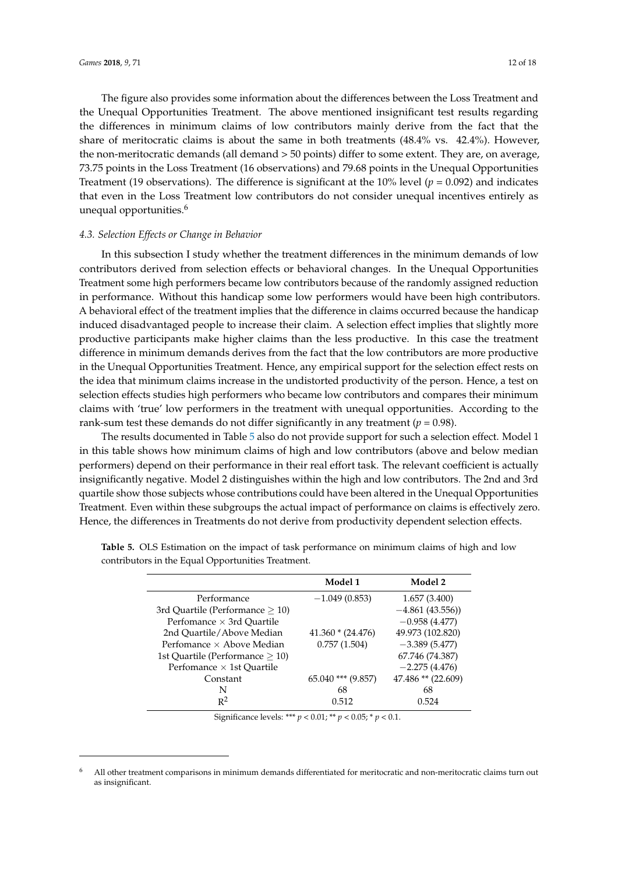The figure also provides some information about the differences between the Loss Treatment and the Unequal Opportunities Treatment. The above mentioned insignificant test results regarding the differences in minimum claims of low contributors mainly derive from the fact that the share of meritocratic claims is about the same in both treatments (48.4% vs. 42.4%). However, the non-meritocratic demands (all demand > 50 points) differ to some extent. They are, on average, 73.75 points in the Loss Treatment (16 observations) and 79.68 points in the Unequal Opportunities Treatment (19 observations). The difference is significant at the 10% level (*p* = 0.092) and indicates that even in the Loss Treatment low contributors do not consider unequal incentives entirely as unequal opportunities.<sup>6</sup>

#### *4.3. Selection Effects or Change in Behavior*

In this subsection I study whether the treatment differences in the minimum demands of low contributors derived from selection effects or behavioral changes. In the Unequal Opportunities Treatment some high performers became low contributors because of the randomly assigned reduction in performance. Without this handicap some low performers would have been high contributors. A behavioral effect of the treatment implies that the difference in claims occurred because the handicap induced disadvantaged people to increase their claim. A selection effect implies that slightly more productive participants make higher claims than the less productive. In this case the treatment difference in minimum demands derives from the fact that the low contributors are more productive in the Unequal Opportunities Treatment. Hence, any empirical support for the selection effect rests on the idea that minimum claims increase in the undistorted productivity of the person. Hence, a test on selection effects studies high performers who became low contributors and compares their minimum claims with 'true' low performers in the treatment with unequal opportunities. According to the rank-sum test these demands do not differ significantly in any treatment ( $p = 0.98$ ).

The results documented in Table [5](#page-11-0) also do not provide support for such a selection effect. Model 1 in this table shows how minimum claims of high and low contributors (above and below median performers) depend on their performance in their real effort task. The relevant coefficient is actually insignificantly negative. Model 2 distinguishes within the high and low contributors. The 2nd and 3rd quartile show those subjects whose contributions could have been altered in the Unequal Opportunities Treatment. Even within these subgroups the actual impact of performance on claims is effectively zero. Hence, the differences in Treatments do not derive from productivity dependent selection effects.

|                                    | Model 1                | Model 2            |
|------------------------------------|------------------------|--------------------|
| Performance                        | $-1.049(0.853)$        | 1.657(3.400)       |
| 3rd Quartile (Performance $> 10$ ) |                        | $-4.861(43.556)$   |
| Perfomance $\times$ 3rd Ouartile   |                        | $-0.958(4.477)$    |
| 2nd Ouartile/Above Median          | $41.360 * (24.476)$    | 49.973 (102.820)   |
| Perfomance $\times$ Above Median   | 0.757(1.504)           | $-3.389(5.477)$    |
| 1st Quartile (Performance $> 10$ ) |                        | 67.746 (74.387)    |
| Perfomance $\times$ 1st Quartile   |                        | $-2.275(4.476)$    |
| Constant                           | $65.040$ *** $(9.857)$ | 47.486 ** (22.609) |
| N                                  | 68                     | 68                 |
| $R^2$                              | 0.512                  | 0.524              |

<span id="page-11-0"></span>**Table 5.** OLS Estimation on the impact of task performance on minimum claims of high and low contributors in the Equal Opportunities Treatment.

Significance levels: \*\*\* *p* < 0.01; \*\* *p* < 0.05; \* *p* < 0.1.

 $6$  All other treatment comparisons in minimum demands differentiated for meritocratic and non-meritocratic claims turn out as insignificant.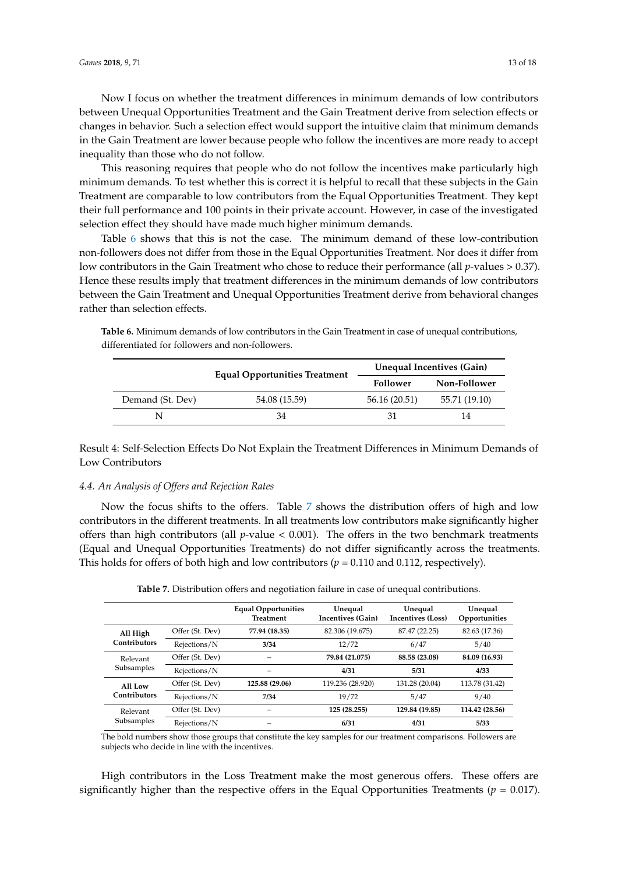Now I focus on whether the treatment differences in minimum demands of low contributors between Unequal Opportunities Treatment and the Gain Treatment derive from selection effects or changes in behavior. Such a selection effect would support the intuitive claim that minimum demands in the Gain Treatment are lower because people who follow the incentives are more ready to accept inequality than those who do not follow.

This reasoning requires that people who do not follow the incentives make particularly high minimum demands. To test whether this is correct it is helpful to recall that these subjects in the Gain Treatment are comparable to low contributors from the Equal Opportunities Treatment. They kept their full performance and 100 points in their private account. However, in case of the investigated selection effect they should have made much higher minimum demands.

Table [6](#page-12-0) shows that this is not the case. The minimum demand of these low-contribution non-followers does not differ from those in the Equal Opportunities Treatment. Nor does it differ from low contributors in the Gain Treatment who chose to reduce their performance (all *p*-values > 0.37). Hence these results imply that treatment differences in the minimum demands of low contributors between the Gain Treatment and Unequal Opportunities Treatment derive from behavioral changes rather than selection effects.

<span id="page-12-0"></span>**Table 6.** Minimum demands of low contributors in the Gain Treatment in case of unequal contributions*,* differentiated for followers and non-followers.

|                  | <b>Equal Opportunities Treatment</b> | <b>Unequal Incentives (Gain)</b> |               |  |
|------------------|--------------------------------------|----------------------------------|---------------|--|
|                  |                                      | Follower                         | Non-Follower  |  |
| Demand (St. Dev) | 54.08 (15.59)                        | 56.16 (20.51)                    | 55.71 (19.10) |  |
| N                | 34                                   |                                  | 14            |  |

Result 4: Self-Selection Effects Do Not Explain the Treatment Differences in Minimum Demands of Low Contributors

## *4.4. An Analysis of Offers and Rejection Rates*

Now the focus shifts to the offers. Table [7](#page-12-1) shows the distribution offers of high and low contributors in the different treatments. In all treatments low contributors make significantly higher offers than high contributors (all *p*-value < 0.001). The offers in the two benchmark treatments (Equal and Unequal Opportunities Treatments) do not differ significantly across the treatments. This holds for offers of both high and low contributors  $(p = 0.110$  and 0.112, respectively).

| Table 7. Distribution offers and negotiation failure in case of unequal contributions. |  |  |
|----------------------------------------------------------------------------------------|--|--|
|----------------------------------------------------------------------------------------|--|--|

<span id="page-12-1"></span>

|                         |                 | <b>Equal Opportunities</b><br><b>Treatment</b> | Unequal<br>Incentives (Gain) | Unequal<br><b>Incentives (Loss)</b> | Unequal<br>Opportunities |
|-------------------------|-----------------|------------------------------------------------|------------------------------|-------------------------------------|--------------------------|
| All High                | Offer (St. Dev) | 77.94 (18.35)                                  | 82.306 (19.675)              | 87.47 (22.25)                       | 82.63 (17.36)            |
| Contributors            | Rejections/N    | 3/34                                           | 12/72                        | 6/47                                | 5/40                     |
| Relevant<br>Subsamples  | Offer (St. Dev) |                                                | 79.84 (21.075)               | 88.58 (23.08)                       | 84.09 (16.93)            |
|                         | Rejections/N    |                                                | 4/31                         | 5/31                                | 4/33                     |
| All Low<br>Contributors | Offer (St. Dev) | 125.88 (29.06)                                 | 119.236 (28.920)             | 131.28 (20.04)                      | 113.78 (31.42)           |
|                         | Rejections/N    | 7/34                                           | 19/72                        | 5/47                                | 9/40                     |
| Relevant<br>Subsamples  | Offer (St. Dev) |                                                | 125 (28.255)                 | 129.84 (19.85)                      | 114.42 (28.56)           |
|                         | Rejections/N    |                                                | 6/31                         | 4/31                                | 5/33                     |

The bold numbers show those groups that constitute the key samples for our treatment comparisons. Followers are subjects who decide in line with the incentives.

High contributors in the Loss Treatment make the most generous offers. These offers are significantly higher than the respective offers in the Equal Opportunities Treatments ( $p = 0.017$ ).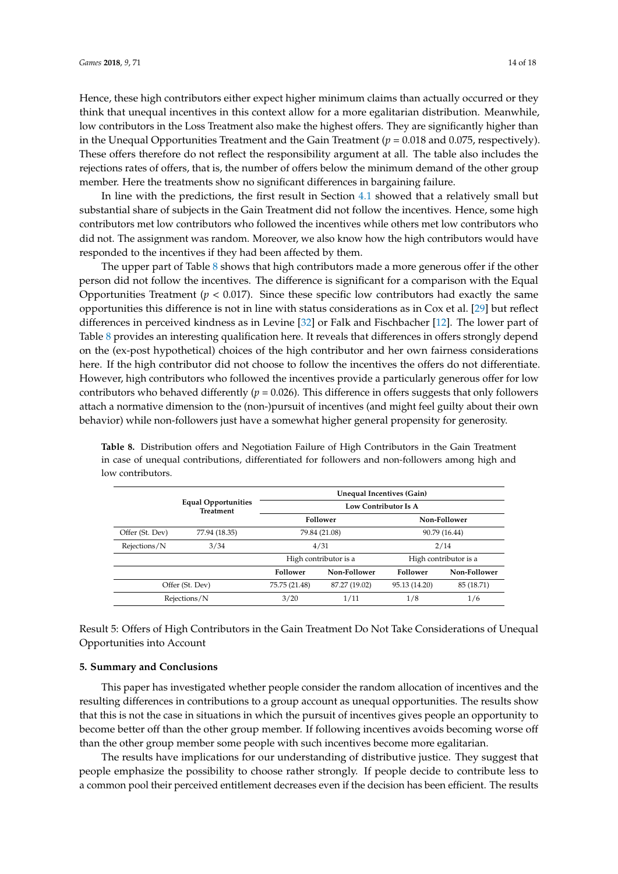Hence, these high contributors either expect higher minimum claims than actually occurred or they think that unequal incentives in this context allow for a more egalitarian distribution. Meanwhile, low contributors in the Loss Treatment also make the highest offers. They are significantly higher than in the Unequal Opportunities Treatment and the Gain Treatment  $(p = 0.018$  and 0.075, respectively). These offers therefore do not reflect the responsibility argument at all. The table also includes the rejections rates of offers, that is, the number of offers below the minimum demand of the other group member. Here the treatments show no significant differences in bargaining failure.

In line with the predictions, the first result in Section [4.1](#page-8-1) showed that a relatively small but substantial share of subjects in the Gain Treatment did not follow the incentives. Hence, some high contributors met low contributors who followed the incentives while others met low contributors who did not. The assignment was random. Moreover, we also know how the high contributors would have responded to the incentives if they had been affected by them.

The upper part of Table [8](#page-13-0) shows that high contributors made a more generous offer if the other person did not follow the incentives. The difference is significant for a comparison with the Equal Opportunities Treatment  $(p < 0.017)$ . Since these specific low contributors had exactly the same opportunities this difference is not in line with status considerations as in Cox et al. [\[29\]](#page-17-0) but reflect differences in perceived kindness as in Levine [\[32\]](#page-17-3) or Falk and Fischbacher [\[12\]](#page-16-10). The lower part of Table [8](#page-13-0) provides an interesting qualification here. It reveals that differences in offers strongly depend on the (ex-post hypothetical) choices of the high contributor and her own fairness considerations here. If the high contributor did not choose to follow the incentives the offers do not differentiate. However, high contributors who followed the incentives provide a particularly generous offer for low contributors who behaved differently ( $p = 0.026$ ). This difference in offers suggests that only followers attach a normative dimension to the (non-)pursuit of incentives (and might feel guilty about their own behavior) while non-followers just have a somewhat higher general propensity for generosity.

|                                                |               | Unequal Incentives (Gain)      |               |               |                       |  |
|------------------------------------------------|---------------|--------------------------------|---------------|---------------|-----------------------|--|
| <b>Equal Opportunities</b><br><b>Treatment</b> |               | Low Contributor Is A           |               |               |                       |  |
|                                                |               | Follower                       |               | Non-Follower  |                       |  |
| Offer (St. Dev)                                | 77.94 (18.35) | 79.84 (21.08)<br>90.79 (16.44) |               |               |                       |  |
| Rejections/N                                   | 3/34          | 4/31<br>2/14                   |               |               |                       |  |
|                                                |               | High contributor is a          |               |               | High contributor is a |  |
|                                                |               | <b>Follower</b>                | Non-Follower  | Follower      | Non-Follower          |  |
| Offer (St. Dev)                                |               | 75.75 (21.48)                  | 87.27 (19.02) | 95.13 (14.20) | 85 (18.71)            |  |
| Rejections/N                                   |               | 3/20                           | 1/11          | 1/8           | 1/6                   |  |

<span id="page-13-0"></span>**Table 8.** Distribution offers and Negotiation Failure of High Contributors in the Gain Treatment in case of unequal contributions, differentiated for followers and non-followers among high and low contributors.

Result 5: Offers of High Contributors in the Gain Treatment Do Not Take Considerations of Unequal Opportunities into Account

#### **5. Summary and Conclusions**

This paper has investigated whether people consider the random allocation of incentives and the resulting differences in contributions to a group account as unequal opportunities. The results show that this is not the case in situations in which the pursuit of incentives gives people an opportunity to become better off than the other group member. If following incentives avoids becoming worse off than the other group member some people with such incentives become more egalitarian.

The results have implications for our understanding of distributive justice. They suggest that people emphasize the possibility to choose rather strongly. If people decide to contribute less to a common pool their perceived entitlement decreases even if the decision has been efficient. The results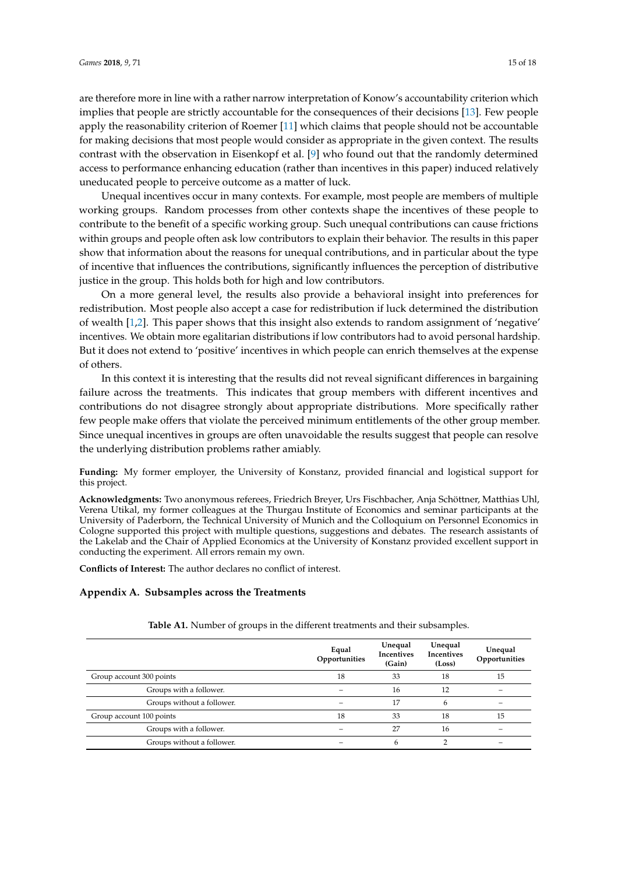are therefore more in line with a rather narrow interpretation of Konow's accountability criterion which implies that people are strictly accountable for the consequences of their decisions [\[13\]](#page-16-11). Few people apply the reasonability criterion of Roemer [\[11\]](#page-16-9) which claims that people should not be accountable for making decisions that most people would consider as appropriate in the given context. The results contrast with the observation in Eisenkopf et al. [\[9\]](#page-16-3) who found out that the randomly determined access to performance enhancing education (rather than incentives in this paper) induced relatively uneducated people to perceive outcome as a matter of luck.

Unequal incentives occur in many contexts. For example, most people are members of multiple working groups. Random processes from other contexts shape the incentives of these people to contribute to the benefit of a specific working group. Such unequal contributions can cause frictions within groups and people often ask low contributors to explain their behavior. The results in this paper show that information about the reasons for unequal contributions, and in particular about the type of incentive that influences the contributions, significantly influences the perception of distributive justice in the group. This holds both for high and low contributors.

On a more general level, the results also provide a behavioral insight into preferences for redistribution. Most people also accept a case for redistribution if luck determined the distribution of wealth [\[1](#page-16-0)[,2\]](#page-16-1). This paper shows that this insight also extends to random assignment of 'negative' incentives. We obtain more egalitarian distributions if low contributors had to avoid personal hardship. But it does not extend to 'positive' incentives in which people can enrich themselves at the expense of others.

In this context it is interesting that the results did not reveal significant differences in bargaining failure across the treatments. This indicates that group members with different incentives and contributions do not disagree strongly about appropriate distributions. More specifically rather few people make offers that violate the perceived minimum entitlements of the other group member. Since unequal incentives in groups are often unavoidable the results suggest that people can resolve the underlying distribution problems rather amiably.

**Funding:** My former employer, the University of Konstanz, provided financial and logistical support for this project.

**Acknowledgments:** Two anonymous referees, Friedrich Breyer, Urs Fischbacher, Anja Schöttner, Matthias Uhl, Verena Utikal, my former colleagues at the Thurgau Institute of Economics and seminar participants at the University of Paderborn, the Technical University of Munich and the Colloquium on Personnel Economics in Cologne supported this project with multiple questions, suggestions and debates. The research assistants of the Lakelab and the Chair of Applied Economics at the University of Konstanz provided excellent support in conducting the experiment. All errors remain my own.

**Conflicts of Interest:** The author declares no conflict of interest.

## **Appendix A. Subsamples across the Treatments**

|                            | Equal<br>Opportunities | Unequal<br>Incentives<br>(Gain) | Unequal<br>Incentives<br>(Loss) | Unequal<br>Opportunities |
|----------------------------|------------------------|---------------------------------|---------------------------------|--------------------------|
| Group account 300 points   | 18                     | 33                              | 18                              | 15                       |
| Groups with a follower.    |                        | 16                              | 12                              |                          |
| Groups without a follower. |                        | 17                              | 6                               |                          |
| Group account 100 points   | 18                     | 33                              | 18                              | 15                       |
| Groups with a follower.    |                        | 27                              | 16                              |                          |
| Groups without a follower. |                        | 6                               |                                 |                          |

**Table A1.** Number of groups in the different treatments and their subsamples.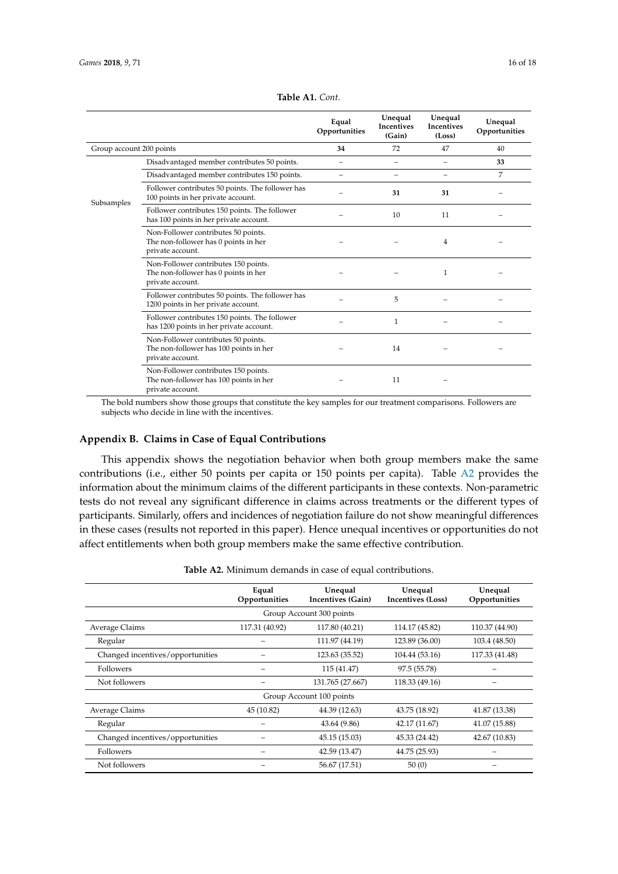|                          |                                                                                                    | Equal<br>Opportunities   | Unequal<br>Incentives<br>(Gain) | Unequal<br>Incentives<br>(Loss) | Unequal<br>Opportunities |
|--------------------------|----------------------------------------------------------------------------------------------------|--------------------------|---------------------------------|---------------------------------|--------------------------|
| Group account 200 points |                                                                                                    | 34                       | 72                              | 47                              | 40                       |
| Subsamples               | Disadvantaged member contributes 50 points.                                                        | $\overline{\phantom{0}}$ | $\overline{\phantom{0}}$        | $\overline{\phantom{0}}$        | 33                       |
|                          | Disadvantaged member contributes 150 points.                                                       |                          |                                 |                                 | 7                        |
|                          | Follower contributes 50 points. The follower has<br>100 points in her private account.             |                          | 31                              | 31                              |                          |
|                          | Follower contributes 150 points. The follower<br>has 100 points in her private account.            |                          | 10                              | 11                              |                          |
|                          | Non-Follower contributes 50 points.<br>The non-follower has 0 points in her<br>private account.    |                          |                                 | 4                               |                          |
|                          | Non-Follower contributes 150 points.<br>The non-follower has 0 points in her<br>private account.   |                          |                                 | 1                               |                          |
|                          | Follower contributes 50 points. The follower has<br>1200 points in her private account.            |                          | 5                               |                                 |                          |
|                          | Follower contributes 150 points. The follower<br>has 1200 points in her private account.           |                          | 1                               |                                 |                          |
|                          | Non-Follower contributes 50 points.<br>The non-follower has 100 points in her<br>private account.  |                          | 14                              |                                 |                          |
|                          | Non-Follower contributes 150 points.<br>The non-follower has 100 points in her<br>private account. |                          | 11                              |                                 |                          |

| Table A1. Cont. |  |  |
|-----------------|--|--|
|-----------------|--|--|

The bold numbers show those groups that constitute the key samples for our treatment comparisons. Followers are subjects who decide in line with the incentives.

## <span id="page-15-0"></span>**Appendix B. Claims in Case of Equal Contributions**

This appendix shows the negotiation behavior when both group members make the same contributions (i.e., either 50 points per capita or 150 points per capita). Table [A2](#page-15-1) provides the information about the minimum claims of the different participants in these contexts. Non-parametric tests do not reveal any significant difference in claims across treatments or the different types of participants. Similarly, offers and incidences of negotiation failure do not show meaningful differences in these cases (results not reported in this paper). Hence unequal incentives or opportunities do not affect entitlements when both group members make the same effective contribution.

<span id="page-15-1"></span>

|                                  | Equal<br>Opportunities | Unequal<br>Incentives (Gain) | Unequal<br>Incentives (Loss) | Unequal<br>Opportunities |  |  |  |  |  |
|----------------------------------|------------------------|------------------------------|------------------------------|--------------------------|--|--|--|--|--|
| Group Account 300 points         |                        |                              |                              |                          |  |  |  |  |  |
| Average Claims                   | 117.31 (40.92)         | 117.80 (40.21)               | 114.17 (45.82)               | 110.37 (44.90)           |  |  |  |  |  |
| Regular                          |                        | 111.97 (44.19)               | 123.89 (36.00)               | 103.4 (48.50)            |  |  |  |  |  |
| Changed incentives/opportunities |                        | 123.63 (35.52)               | 104.44 (53.16)               | 117.33 (41.48)           |  |  |  |  |  |
| <b>Followers</b>                 |                        | 115 (41.47)                  | 97.5 (55.78)                 |                          |  |  |  |  |  |
| Not followers                    |                        | 131.765 (27.667)             | 118.33 (49.16)               |                          |  |  |  |  |  |
| Group Account 100 points         |                        |                              |                              |                          |  |  |  |  |  |
| Average Claims                   | 45 (10.82)             | 44.39 (12.63)                | 43.75 (18.92)                | 41.87 (13.38)            |  |  |  |  |  |
| Regular                          |                        | 43.64 (9.86)                 | 42.17 (11.67)                | 41.07 (15.88)            |  |  |  |  |  |
| Changed incentives/opportunities |                        | 45.15 (15.03)                | 45.33 (24.42)                | 42.67 (10.83)            |  |  |  |  |  |
| Followers                        |                        | 42.59 (13.47)                | 44.75 (25.93)                |                          |  |  |  |  |  |
| Not followers                    |                        | 56.67 (17.51)                | 50(0)                        |                          |  |  |  |  |  |

**Table A2.** Minimum demands in case of equal contributions.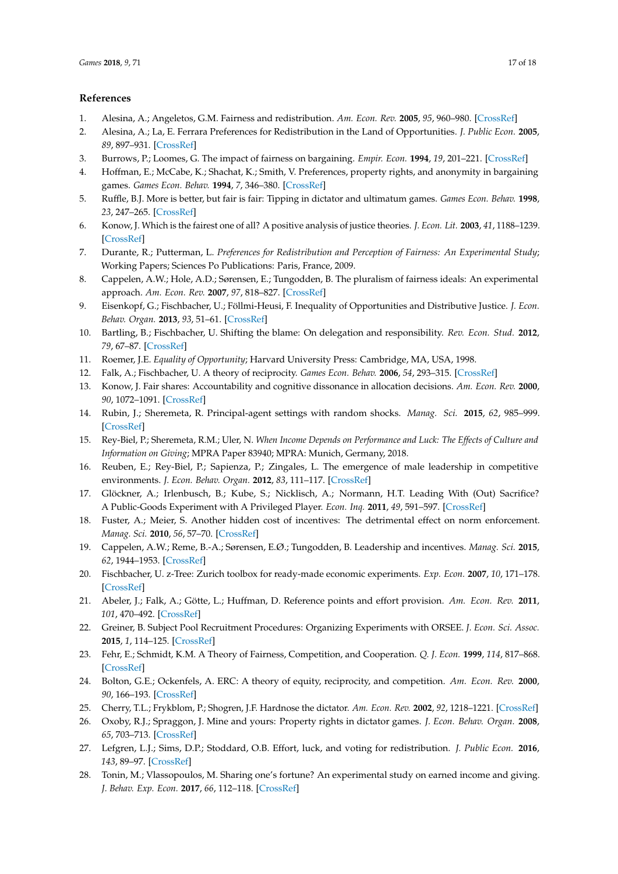## **References**

- <span id="page-16-0"></span>1. Alesina, A.; Angeletos, G.M. Fairness and redistribution. *Am. Econ. Rev.* **2005**, *95*, 960–980. [\[CrossRef\]](http://dx.doi.org/10.1257/0002828054825655)
- <span id="page-16-1"></span>2. Alesina, A.; La, E. Ferrara Preferences for Redistribution in the Land of Opportunities. *J. Public Econ.* **2005**, *89*, 897–931. [\[CrossRef\]](http://dx.doi.org/10.1016/j.jpubeco.2004.05.009)
- <span id="page-16-4"></span>3. Burrows, P.; Loomes, G. The impact of fairness on bargaining. *Empir. Econ.* **1994**, *19*, 201–221. [\[CrossRef\]](http://dx.doi.org/10.1007/BF01175872)
- <span id="page-16-5"></span>4. Hoffman, E.; McCabe, K.; Shachat, K.; Smith, V. Preferences, property rights, and anonymity in bargaining games. *Games Econ. Behav.* **1994**, *7*, 346–380. [\[CrossRef\]](http://dx.doi.org/10.1006/game.1994.1056)
- <span id="page-16-6"></span>5. Ruffle, B.J. More is better, but fair is fair: Tipping in dictator and ultimatum games. *Games Econ. Behav.* **1998**, *23*, 247–265. [\[CrossRef\]](http://dx.doi.org/10.1006/game.1997.0630)
- <span id="page-16-7"></span>6. Konow, J. Which is the fairest one of all? A positive analysis of justice theories. *J. Econ. Lit.* **2003**, *41*, 1188–1239. [\[CrossRef\]](http://dx.doi.org/10.1257/002205103771800013)
- <span id="page-16-8"></span>7. Durante, R.; Putterman, L. *Preferences for Redistribution and Perception of Fairness: An Experimental Study*; Working Papers; Sciences Po Publications: Paris, France, 2009.
- <span id="page-16-2"></span>8. Cappelen, A.W.; Hole, A.D.; Sørensen, E.; Tungodden, B. The pluralism of fairness ideals: An experimental approach. *Am. Econ. Rev.* **2007**, *97*, 818–827. [\[CrossRef\]](http://dx.doi.org/10.1257/aer.97.3.818)
- <span id="page-16-3"></span>9. Eisenkopf, G.; Fischbacher, U.; Föllmi-Heusi, F. Inequality of Opportunities and Distributive Justice. *J. Econ. Behav. Organ.* **2013**, *93*, 51–61. [\[CrossRef\]](http://dx.doi.org/10.1016/j.jebo.2013.07.011)
- <span id="page-16-12"></span>10. Bartling, B.; Fischbacher, U. Shifting the blame: On delegation and responsibility. *Rev. Econ. Stud.* **2012**, *79*, 67–87. [\[CrossRef\]](http://dx.doi.org/10.1093/restud/rdr023)
- <span id="page-16-9"></span>11. Roemer, J.E. *Equality of Opportunity*; Harvard University Press: Cambridge, MA, USA, 1998.
- <span id="page-16-10"></span>12. Falk, A.; Fischbacher, U. A theory of reciprocity. *Games Econ. Behav.* **2006**, *54*, 293–315. [\[CrossRef\]](http://dx.doi.org/10.1016/j.geb.2005.03.001)
- <span id="page-16-11"></span>13. Konow, J. Fair shares: Accountability and cognitive dissonance in allocation decisions. *Am. Econ. Rev.* **2000**, *90*, 1072–1091. [\[CrossRef\]](http://dx.doi.org/10.1257/aer.90.4.1072)
- <span id="page-16-13"></span>14. Rubin, J.; Sheremeta, R. Principal-agent settings with random shocks. *Manag. Sci.* **2015**, *62*, 985–999. [\[CrossRef\]](http://dx.doi.org/10.1287/mnsc.2015.2177)
- <span id="page-16-14"></span>15. Rey-Biel, P.; Sheremeta, R.M.; Uler, N. *When Income Depends on Performance and Luck: The Effects of Culture and Information on Giving*; MPRA Paper 83940; MPRA: Munich, Germany, 2018.
- <span id="page-16-15"></span>16. Reuben, E.; Rey-Biel, P.; Sapienza, P.; Zingales, L. The emergence of male leadership in competitive environments. *J. Econ. Behav. Organ.* **2012**, *83*, 111–117. [\[CrossRef\]](http://dx.doi.org/10.1016/j.jebo.2011.06.016)
- <span id="page-16-16"></span>17. Glöckner, A.; Irlenbusch, B.; Kube, S.; Nicklisch, A.; Normann, H.T. Leading With (Out) Sacrifice? A Public-Goods Experiment with A Privileged Player. *Econ. Inq.* **2011**, *49*, 591–597. [\[CrossRef\]](http://dx.doi.org/10.1111/j.1465-7295.2010.00314.x)
- <span id="page-16-17"></span>18. Fuster, A.; Meier, S. Another hidden cost of incentives: The detrimental effect on norm enforcement. *Manag. Sci.* **2010**, *56*, 57–70. [\[CrossRef\]](http://dx.doi.org/10.1287/mnsc.1090.1081)
- <span id="page-16-18"></span>19. Cappelen, A.W.; Reme, B.-A.; Sørensen, E.Ø.; Tungodden, B. Leadership and incentives. *Manag. Sci.* **2015**, *62*, 1944–1953. [\[CrossRef\]](http://dx.doi.org/10.1287/mnsc.2015.2225)
- <span id="page-16-19"></span>20. Fischbacher, U. z-Tree: Zurich toolbox for ready-made economic experiments. *Exp. Econ.* **2007**, *10*, 171–178. [\[CrossRef\]](http://dx.doi.org/10.1007/s10683-006-9159-4)
- <span id="page-16-20"></span>21. Abeler, J.; Falk, A.; Götte, L.; Huffman, D. Reference points and effort provision. *Am. Econ. Rev.* **2011**, *101*, 470–492. [\[CrossRef\]](http://dx.doi.org/10.1257/aer.101.2.470)
- <span id="page-16-21"></span>22. Greiner, B. Subject Pool Recruitment Procedures: Organizing Experiments with ORSEE. *J. Econ. Sci. Assoc.* **2015**, *1*, 114–125. [\[CrossRef\]](http://dx.doi.org/10.1007/s40881-015-0004-4)
- <span id="page-16-22"></span>23. Fehr, E.; Schmidt, K.M. A Theory of Fairness, Competition, and Cooperation. *Q. J. Econ.* **1999**, *114*, 817–868. [\[CrossRef\]](http://dx.doi.org/10.1162/003355399556151)
- <span id="page-16-23"></span>24. Bolton, G.E.; Ockenfels, A. ERC: A theory of equity, reciprocity, and competition. *Am. Econ. Rev.* **2000**, *90*, 166–193. [\[CrossRef\]](http://dx.doi.org/10.1257/aer.90.1.166)
- <span id="page-16-24"></span>25. Cherry, T.L.; Frykblom, P.; Shogren, J.F. Hardnose the dictator. *Am. Econ. Rev.* **2002**, *92*, 1218–1221. [\[CrossRef\]](http://dx.doi.org/10.1257/00028280260344740)
- <span id="page-16-25"></span>26. Oxoby, R.J.; Spraggon, J. Mine and yours: Property rights in dictator games. *J. Econ. Behav. Organ.* **2008**, *65*, 703–713. [\[CrossRef\]](http://dx.doi.org/10.1016/j.jebo.2005.12.006)
- <span id="page-16-26"></span>27. Lefgren, L.J.; Sims, D.P.; Stoddard, O.B. Effort, luck, and voting for redistribution. *J. Public Econ.* **2016**, *143*, 89–97. [\[CrossRef\]](http://dx.doi.org/10.1016/j.jpubeco.2016.08.012)
- <span id="page-16-27"></span>28. Tonin, M.; Vlassopoulos, M. Sharing one's fortune? An experimental study on earned income and giving. *J. Behav. Exp. Econ.* **2017**, *66*, 112–118. [\[CrossRef\]](http://dx.doi.org/10.1016/j.socec.2016.04.014)